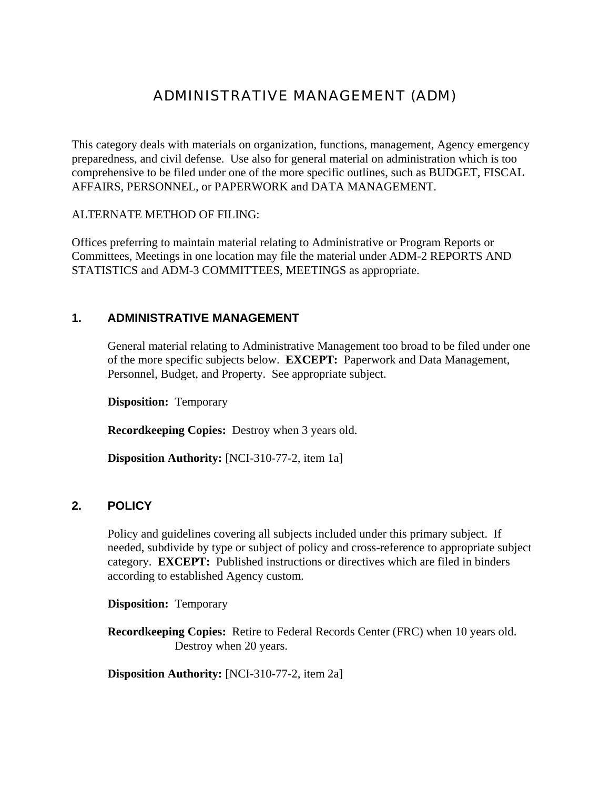# ADMINISTRATIVE MANAGEMENT (ADM)

This category deals with materials on organization, functions, management, Agency emergency preparedness, and civil defense. Use also for general material on administration which is too comprehensive to be filed under one of the more specific outlines, such as BUDGET, FISCAL AFFAIRS, PERSONNEL, or PAPERWORK and DATA MANAGEMENT.

ALTERNATE METHOD OF FILING:

Offices preferring to maintain material relating to Administrative or Program Reports or Committees, Meetings in one location may file the material under ADM-2 REPORTS AND STATISTICS and ADM-3 COMMITTEES, MEETINGS as appropriate.

# **1. ADMINISTRATIVE MANAGEMENT**

General material relating to Administrative Management too broad to be filed under one of the more specific subjects below. **EXCEPT:** Paperwork and Data Management, Personnel, Budget, and Property. See appropriate subject.

**Disposition:** Temporary

**Recordkeeping Copies:** Destroy when 3 years old.

**Disposition Authority:** [NCI-310-77-2, item 1a]

# **2. POLICY**

Policy and guidelines covering all subjects included under this primary subject. If needed, subdivide by type or subject of policy and cross-reference to appropriate subject category. **EXCEPT:** Published instructions or directives which are filed in binders according to established Agency custom.

**Disposition:** Temporary

**Recordkeeping Copies:** Retire to Federal Records Center (FRC) when 10 years old. Destroy when 20 years.

**Disposition Authority:** [NCI-310-77-2, item 2a]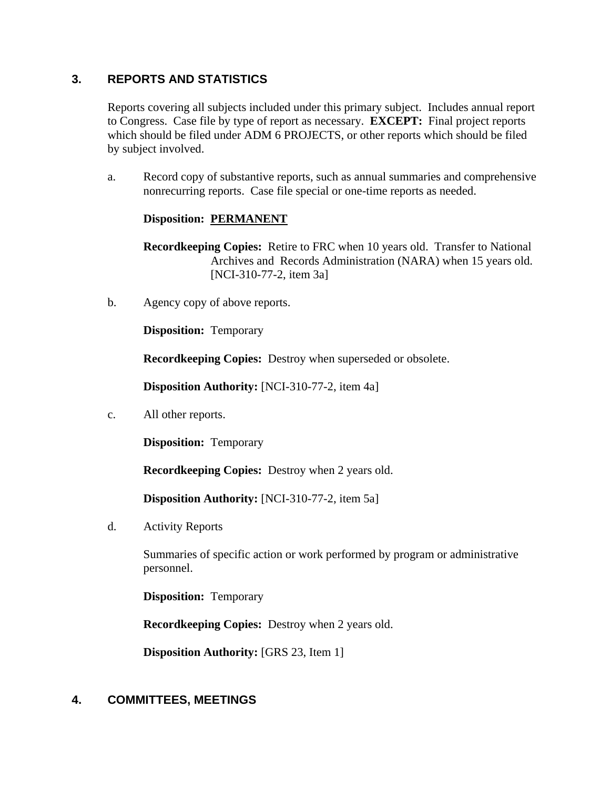# **3. REPORTS AND STATISTICS**

Reports covering all subjects included under this primary subject. Includes annual report to Congress. Case file by type of report as necessary. **EXCEPT:** Final project reports which should be filed under ADM 6 PROJECTS, or other reports which should be filed by subject involved.

a. Record copy of substantive reports, such as annual summaries and comprehensive nonrecurring reports. Case file special or one-time reports as needed.

# **Disposition: PERMANENT**

**Recordkeeping Copies:** Retire to FRC when 10 years old. Transfer to National Archives and Records Administration (NARA) when 15 years old. [NCI-310-77-2, item 3a]

b. Agency copy of above reports.

**Disposition:** Temporary

**Recordkeeping Copies:** Destroy when superseded or obsolete.

**Disposition Authority:** [NCI-310-77-2, item 4a]

c. All other reports.

**Disposition:** Temporary

**Recordkeeping Copies:** Destroy when 2 years old.

**Disposition Authority:** [NCI-310-77-2, item 5a]

d. Activity Reports

Summaries of specific action or work performed by program or administrative personnel.

**Disposition:** Temporary

**Recordkeeping Copies:** Destroy when 2 years old.

**Disposition Authority:** [GRS 23, Item 1]

# **4. COMMITTEES, MEETINGS**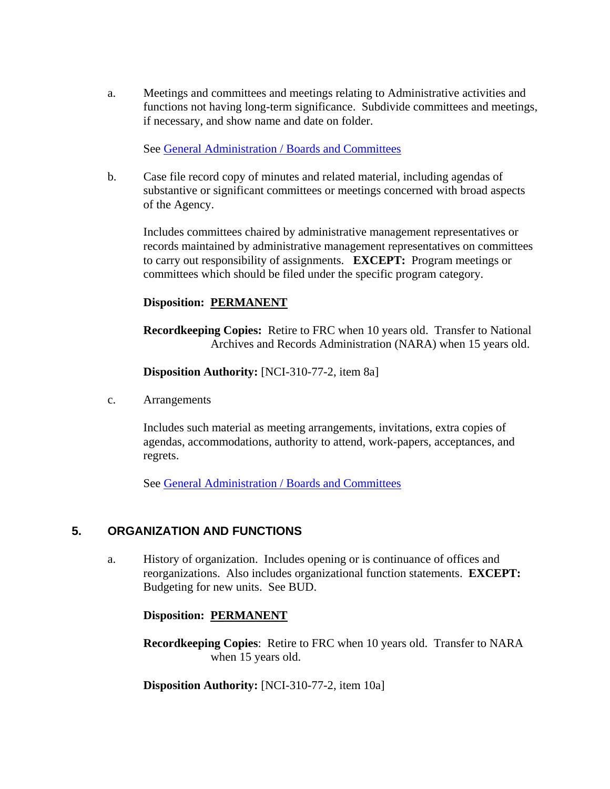a. Meetings and committees and meetings relating to Administrative activities and functions not having long-term significance. Subdivide committees and meetings, if necessary, and show name and date on folder.

See [General Administration / Boards and Committees](http://inside.aphis.usda.gov/mrpbs/records/general_administration.shtml)

b. Case file record copy of minutes and related material, including agendas of substantive or significant committees or meetings concerned with broad aspects of the Agency.

Includes committees chaired by administrative management representatives or records maintained by administrative management representatives on committees to carry out responsibility of assignments. **EXCEPT:** Program meetings or committees which should be filed under the specific program category.

# **Disposition: PERMANENT**

**Recordkeeping Copies:** Retire to FRC when 10 years old. Transfer to National Archives and Records Administration (NARA) when 15 years old.

**Disposition Authority:** [NCI-310-77-2, item 8a]

c. Arrangements

Includes such material as meeting arrangements, invitations, extra copies of agendas, accommodations, authority to attend, work-papers, acceptances, and regrets.

See [General Administration / Boards and Committees](http://inside.aphis.usda.gov/mrpbs/records/general_administration.shtml)

# **5. ORGANIZATION AND FUNCTIONS**

a. History of organization. Includes opening or is continuance of offices and reorganizations. Also includes organizational function statements. **EXCEPT:** Budgeting for new units. See BUD.

#### **Disposition: PERMANENT**

**Recordkeeping Copies**: Retire to FRC when 10 years old. Transfer to NARA when 15 years old.

**Disposition Authority:** [NCI-310-77-2, item 10a]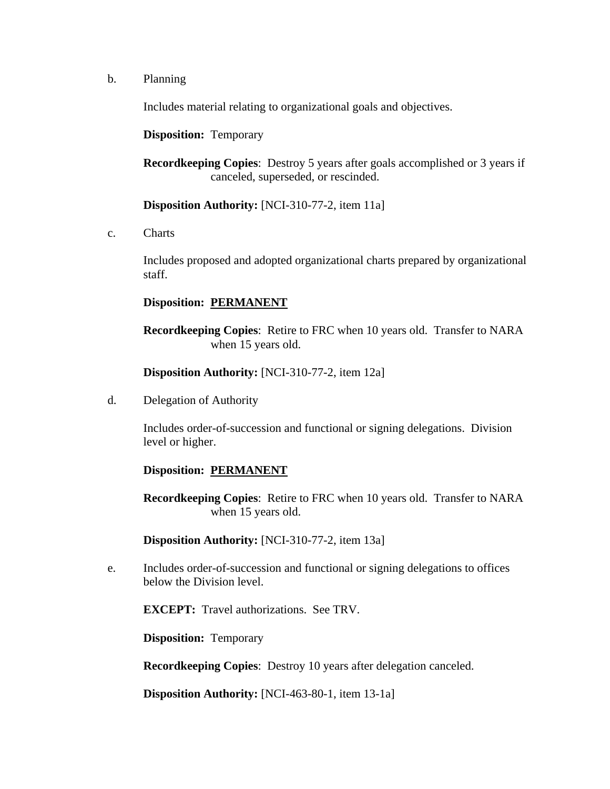b. Planning

Includes material relating to organizational goals and objectives.

**Disposition:** Temporary

**Recordkeeping Copies**: Destroy 5 years after goals accomplished or 3 years if canceled, superseded, or rescinded.

**Disposition Authority:** [NCI-310-77-2, item 11a]

c. Charts

Includes proposed and adopted organizational charts prepared by organizational staff.

# **Disposition: PERMANENT**

**Recordkeeping Copies**: Retire to FRC when 10 years old. Transfer to NARA when 15 years old.

**Disposition Authority:** [NCI-310-77-2, item 12a]

d. Delegation of Authority

Includes order-of-succession and functional or signing delegations. Division level or higher.

# **Disposition: PERMANENT**

**Recordkeeping Copies**: Retire to FRC when 10 years old. Transfer to NARA when 15 years old.

**Disposition Authority:** [NCI-310-77-2, item 13a]

e. Includes order-of-succession and functional or signing delegations to offices below the Division level.

**EXCEPT:** Travel authorizations. See TRV.

**Disposition:** Temporary

**Recordkeeping Copies**: Destroy 10 years after delegation canceled.

**Disposition Authority:** [NCI-463-80-1, item 13-1a]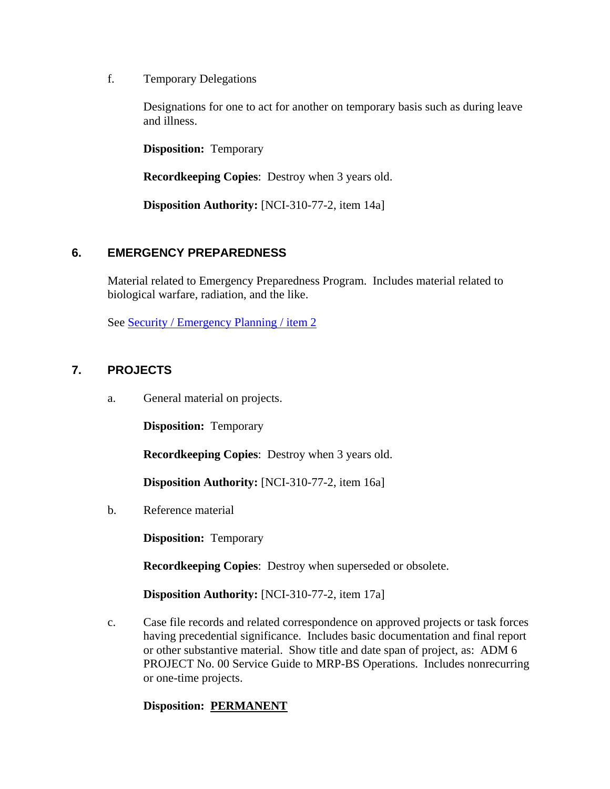f. Temporary Delegations

Designations for one to act for another on temporary basis such as during leave and illness.

**Disposition:** Temporary

**Recordkeeping Copies**: Destroy when 3 years old.

**Disposition Authority:** [NCI-310-77-2, item 14a]

# **6. EMERGENCY PREPAREDNESS**

Material related to Emergency Preparedness Program. Includes material related to biological warfare, radiation, and the like.

See Security / Emergency Planning / item 2

# **7. PROJECTS**

a. General material on projects.

**Disposition:** Temporary

**Recordkeeping Copies**: Destroy when 3 years old.

**Disposition Authority:** [NCI-310-77-2, item 16a]

b. Reference material

**Disposition:** Temporary

**Recordkeeping Copies**: Destroy when superseded or obsolete.

**Disposition Authority:** [NCI-310-77-2, item 17a]

c. Case file records and related correspondence on approved projects or task forces having precedential significance. Includes basic documentation and final report or other substantive material. Show title and date span of project, as: ADM 6 PROJECT No. 00 Service Guide to MRP-BS Operations. Includes nonrecurring or one-time projects.

# **Disposition: PERMANENT**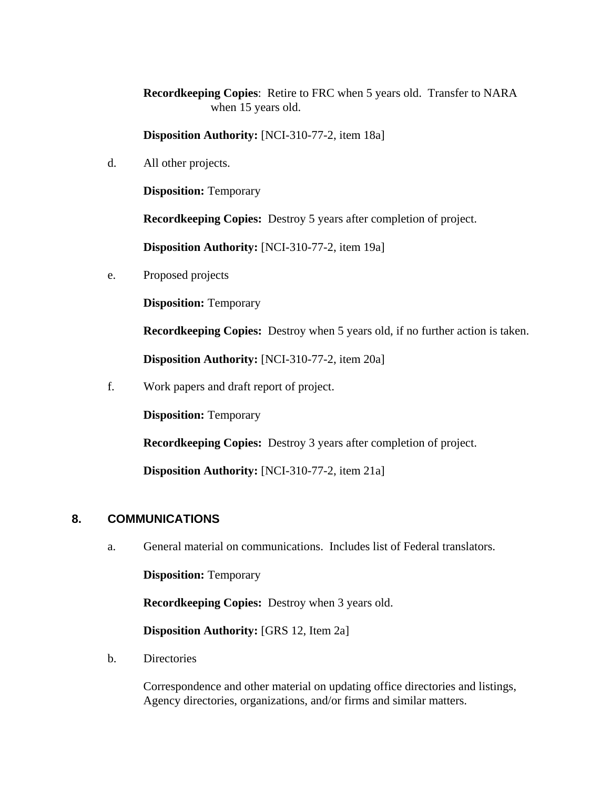**Recordkeeping Copies**: Retire to FRC when 5 years old. Transfer to NARA when 15 years old.

**Disposition Authority:** [NCI-310-77-2, item 18a]

d. All other projects.

**Disposition:** Temporary

**Recordkeeping Copies:** Destroy 5 years after completion of project.

**Disposition Authority:** [NCI-310-77-2, item 19a]

e. Proposed projects

**Disposition:** Temporary

**Recordkeeping Copies:** Destroy when 5 years old, if no further action is taken.

**Disposition Authority:** [NCI-310-77-2, item 20a]

f. Work papers and draft report of project.

**Disposition:** Temporary

**Recordkeeping Copies:** Destroy 3 years after completion of project.

**Disposition Authority:** [NCI-310-77-2, item 21a]

#### **8. COMMUNICATIONS**

a. General material on communications. Includes list of Federal translators.

**Disposition:** Temporary

**Recordkeeping Copies:** Destroy when 3 years old.

**Disposition Authority:** [GRS 12, Item 2a]

b. Directories

Correspondence and other material on updating office directories and listings, Agency directories, organizations, and/or firms and similar matters.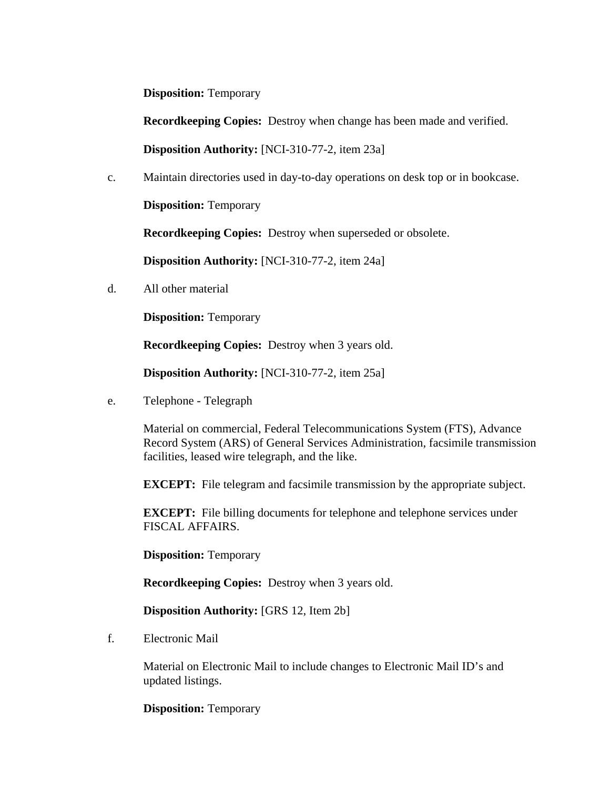**Disposition:** Temporary

**Recordkeeping Copies:** Destroy when change has been made and verified.

**Disposition Authority:** [NCI-310-77-2, item 23a]

c. Maintain directories used in day-to-day operations on desk top or in bookcase.

**Disposition:** Temporary

**Recordkeeping Copies:** Destroy when superseded or obsolete.

**Disposition Authority:** [NCI-310-77-2, item 24a]

d. All other material

**Disposition:** Temporary

**Recordkeeping Copies:** Destroy when 3 years old.

**Disposition Authority:** [NCI-310-77-2, item 25a]

e. Telephone - Telegraph

Material on commercial, Federal Telecommunications System (FTS), Advance Record System (ARS) of General Services Administration, facsimile transmission facilities, leased wire telegraph, and the like.

**EXCEPT:** File telegram and facsimile transmission by the appropriate subject.

**EXCEPT:** File billing documents for telephone and telephone services under FISCAL AFFAIRS.

**Disposition: Temporary** 

**Recordkeeping Copies:** Destroy when 3 years old.

**Disposition Authority:** [GRS 12, Item 2b]

f. Electronic Mail

Material on Electronic Mail to include changes to Electronic Mail ID's and updated listings.

**Disposition:** Temporary